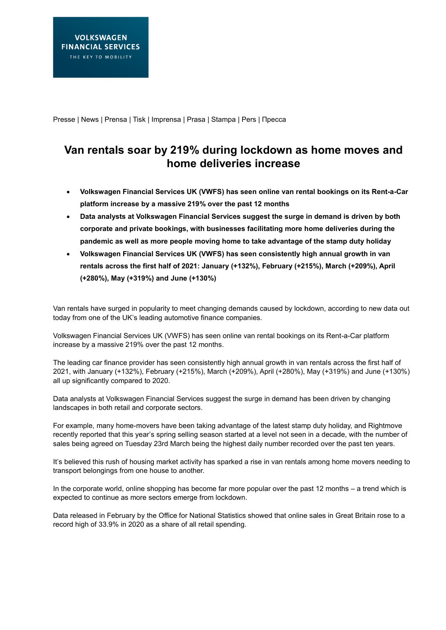Presse | News | Prensa | Tisk | Imprensa | Prasa | Stampa | Pers | Пресса

## **Van rentals soar by 219% during lockdown as home moves and home deliveries increase**

- **Volkswagen Financial Services UK (VWFS) has seen online van rental bookings on its Rent-a-Car platform increase by a massive 219% over the past 12 months**
- **Data analysts at Volkswagen Financial Services suggest the surge in demand is driven by both corporate and private bookings, with businesses facilitating more home deliveries during the pandemic as well as more people moving home to take advantage of the stamp duty holiday**
- **Volkswagen Financial Services UK (VWFS) has seen consistently high annual growth in van rentals across the first half of 2021: January (+132%), February (+215%), March (+209%), April (+280%), May (+319%) and June (+130%)**

Van rentals have surged in popularity to meet changing demands caused by lockdown, according to new data out today from one of the UK's leading automotive finance companies.

Volkswagen Financial Services UK (VWFS) has seen online van rental bookings on its Rent-a-Car platform increase by a massive 219% over the past 12 months.

The leading car finance provider has seen consistently high annual growth in van rentals across the first half of 2021, with January (+132%), February (+215%), March (+209%), April (+280%), May (+319%) and June (+130%) all up significantly compared to 2020.

Data analysts at Volkswagen Financial Services suggest the surge in demand has been driven by changing landscapes in both retail and corporate sectors.

For example, many home-movers have been taking advantage of the latest stamp duty holiday, and Rightmove recently reported that this year's spring selling season started at a level not seen in a decade, with the number of sales being agreed on Tuesday 23rd March being the highest daily number recorded over the past ten years.

It's believed this rush of housing market activity has sparked a rise in van rentals among home movers needing to transport belongings from one house to another.

In the corporate world, online shopping has become far more popular over the past 12 months – a trend which is expected to continue as more sectors emerge from lockdown.

Data released in February by the Office for National Statistics showed that online sales in Great Britain rose to a record high of 33.9% in 2020 as a share of all retail spending.